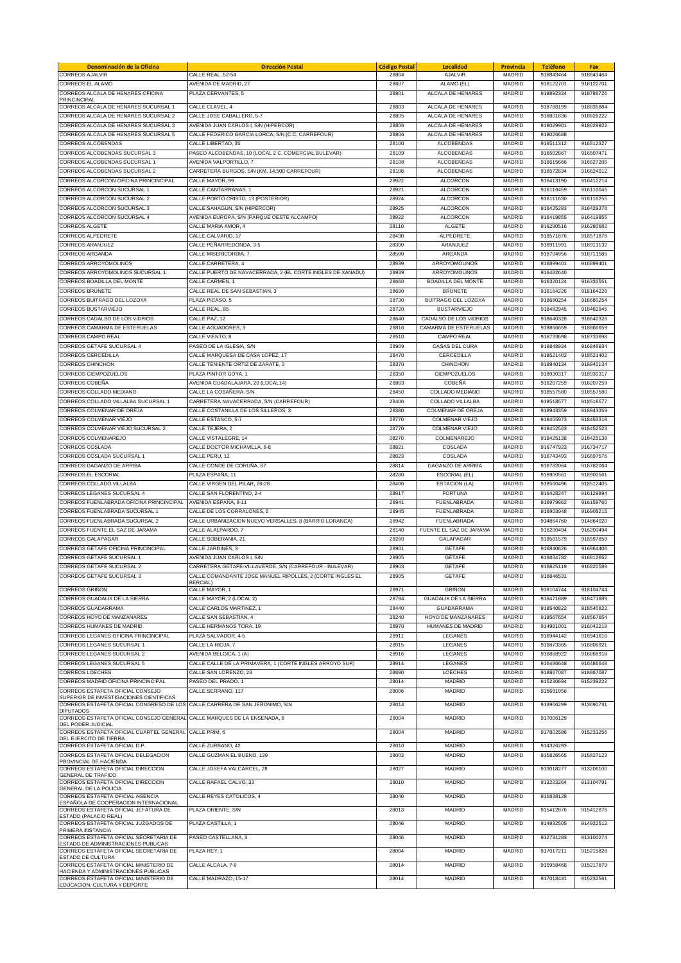| Denominación de la Oficina                                                                                             | <b>Dirección Postal</b>                                                       | <b>Código Postal</b> | <b>Localidad</b>                                  | <b>Provincia</b> | <b>Teléfono</b>        | Fax                    |
|------------------------------------------------------------------------------------------------------------------------|-------------------------------------------------------------------------------|----------------------|---------------------------------------------------|------------------|------------------------|------------------------|
| <b>CORREOS AJALVIR</b>                                                                                                 | CALLE REAL, 52-54                                                             | 28864                | AJALVIR                                           | MADRID           | 918843464              | 918843464              |
| CORREOS EL ALAMO                                                                                                       | AVENIDA DE MADRID, 27                                                         | 28607                | ALAMO (EL)                                        | MADRID           | 918122701              | 918122701              |
| CORREOS ALCALA DE HENARES OFICINA<br><b>PRINCINCIPAL</b>                                                               | PLAZA CERVANTES, 5                                                            | 28801                | ALCALA DE HENARES                                 | MADRID           | 918892334              | 918788726              |
| CORREOS ALCALA DE HENARES SUCURSAL 1                                                                                   | CALLE CLAVEL 4                                                                | 28803                | ALCALA DE HENARES                                 | MADRID           | 918788199              | 918835884              |
| CORREOS ALCALA DE HENARES SUCURSAL 2                                                                                   | CALLE JOSE CABALLERO, 5-7                                                     | 28805                | ALCALA DE HENARES                                 | MADRID           | 918801636              | 918826222              |
| CORREOS ALCALA DE HENARES SUCURSAL 3                                                                                   | AVENIDA JUAN CARLOS I, S/N (HIPERCOR)                                         | 28806                | ALCALA DE HENARES                                 | MADRID           | 918029901              | 918029922              |
| CORREOS ALCALA DE HENARES SUCURSAL 5                                                                                   | CALLE FEDERICO GARCIA LORCA, S/N (C.C. CARREFOUR)                             | 28806                | ALCALA DE HENARES                                 | MADRID           | 918026688              |                        |
| <b>CORREOS ALCOBENDAS</b>                                                                                              | CALLE LIBERTAD, 35                                                            | 28100                | <b>ALCOBENDAS</b>                                 | MADRID           | 916511312              | 916512327              |
| CORREOS ALCOBENDAS SUCURSAL 3<br>CORREOS ALCOBENDAS SUCURSAL 1                                                         | PASEO ALCOBENDAS, 10 (LOCAL 2 C. COMERCIAL.BULEVAR)                           | 28109                | <b>ALCOBENDAS</b>                                 | MADRID           | 916502867              | 916507471              |
| CORREOS ALCOBENDAS SUCURSAL 2                                                                                          | AVENIDA VALPORTILLO, 7<br>CARRETERA BURGOS, S/N (KM. 14,500 CARREFOUR)        | 28108<br>28108       | <b>ALCOBENDAS</b><br>ALCOBENDAS                   | MADRID<br>MADRID | 916615666<br>916572834 | 916627206<br>916624912 |
| CORREOS ALCORCON OFICINA PRINCINCIPAL                                                                                  | CALLE MAYOR, 99                                                               | 28922                | <b>ALCORCON</b>                                   | MADRID           | 916413190              | 916412214              |
| CORREOS ALCORCON SUCURSAL 1                                                                                            | CALLE CANTARRANAS, 1                                                          | 28921                | <b>ALCORCON</b>                                   | MADRID           | 916116459              | 916110045              |
| CORREOS ALCORCON SUCURSAL 2                                                                                            | CALLE PORTO CRISTO, 13 (POSTERIOR)                                            | 28924                | <b>ALCORCON</b>                                   | MADRID           | 916111630              | 916116255              |
| CORREOS ALCORCON SUCURSAL 3                                                                                            | CALLE SAHAGUN, S/N (HIPERCOR)                                                 | 28925                | <b>ALCORCON</b>                                   | MADRID           | 916425283              | 916429378              |
| CORREOS ALCORCON SUCURSAL 4                                                                                            | AVENIDA EUROPA, S/N (PARQUE OESTE ALCAMPO)                                    | 28922                | <b>ALCORCON</b>                                   | MADRID           | 916419855              | 916419855              |
| <b>CORREOS ALGETE</b>                                                                                                  | CALLE MARIA AMOR, 4                                                           | 28110                | <b>ALGETE</b>                                     | MADRID           | 916280516              | 916280682              |
| <b>CORREOS ALPEDRETE</b>                                                                                               | CALLE CALVARIO, 17                                                            | 28430                | <b>ALPEDRETE</b>                                  | <b>MADRID</b>    | 918571876              | 918571876              |
| <b>CORREOS ARANJUEZ</b>                                                                                                | CALLE PEÑARREDONDA, 3-5                                                       | 28300                | ARANJUEZ                                          | MADRID           | 918911991              | 918911132              |
| CORREOS ARGANDA                                                                                                        | CALLE MISERICORDIA, 7                                                         | 28500                | ARGANDA                                           | <b>MADRID</b>    | 918704956              | 918711585              |
| CORREOS ARROYOMOLINOS                                                                                                  | CALLE CARRETERA, 4                                                            | 28939                | ARROYOMOLINOS                                     | <b>MADRID</b>    | 916899401              | 916899401              |
| CORREOS ARROYOMOLINOS SUCURSAL 1<br>CORREOS BOADILLA DEL MONTE                                                         | CALLE PUERTO DE NAVACERRADA, 2 (EL CORTE INGLES DE XANADU)<br>CALLE CARMEN, 1 | 28939<br>28660       | ARROYOMOLINOS<br><b>BOADILLA DEL MONTE</b>        | MADRID<br>MADRID | 916482640              |                        |
| <b>CORREOS BRUNETE</b>                                                                                                 | CALLE REAL DE SAN SEBASTIAN, 3                                                | 28690                | <b>BRUNETE</b>                                    | MADRID           | 916320124<br>918164226 | 916333551<br>918164226 |
| CORREOS BUITRAGO DEL LOZOYA                                                                                            | PLAZA PICASO, 5                                                               | 28730                | BUITRAGO DEL LOZOYA                               | MADRID           | 918680254              | 918680254              |
| <b>CORREOS BUSTARVIEJO</b>                                                                                             | CALLE REAL, 85                                                                | 28720                | <b>BUSTARVIEJO</b>                                | MADRID           | 918482945              | 918482945              |
| CORREOS CADALSO DE LOS VIDRIOS                                                                                         | CALLE PAZ, 12                                                                 | 28640                | CADALSO DE LOS VIDRIOS                            | MADRID           | 918640328              | 918640328              |
| CORREOS CAMARMA DE ESTERUELAS                                                                                          | CALLE AGUADORES, 3                                                            | 28816                | CAMARMA DE ESTERUELAS                             | <b>MADRID</b>    | 918866659              | 918866659              |
| <b>CORREOS CAMPO REAL</b>                                                                                              | CALLE VIENTO, 8                                                               | 28510                | CAMPO REAL                                        | MADRID           | 918733698              | 918733698              |
| CORREOS GETAFE SUCURSAL 4                                                                                              | PASEO DE LA IGLESIA, S/N                                                      | 28909                | CASAS DEL CURA                                    | MADRID           | 916848934              | 916848934              |
| <b>CORREOS CERCEDILLA</b>                                                                                              | CALLE MARQUESA DE CASA LOPEZ, 17                                              | 28470                | CERCEDILLA                                        | MADRID           | 918521402              | 918521402              |
| <b>CORREOS CHINCHON</b>                                                                                                | CALLE TENIENTE ORTIZ DE ZARATE, 3                                             | 28370                | CHINCHON                                          | MADRID           | 918940134              | 918940134              |
| <b>CORREOS CIEMPOZUELOS</b>                                                                                            | PLAZA PINTOR GOYA. 1                                                          | 28350                | CIEMPOZUELOS                                      | MADRID           | 918930317              | 918930317              |
| CORREOS COBEÑA                                                                                                         | AVENIDA GUADALAJARA, 20 (LOCAL14)                                             | 28863                | <b>COBEÑA</b>                                     | MADRID           | 916207259              | 916207259              |
| CORREOS COLLADO MEDIANO                                                                                                | CALLE LA COBAÑERA. S/N                                                        | 28450                | COLLADO MEDIANO                                   | MADRID           | 918557580              | 918557580              |
| CORREOS COLLADO VILLALBA SUCURSAL 1                                                                                    | CARRETERA NAVACERRADA, S/N (CARREFOUR)                                        | 28400                | COLLADO VILLALBA                                  | MADRID           | 918518577              | 918518577              |
| CORREOS COLMENAR DE OREJA                                                                                              | CALLE COSTANILLA DE LOS SILLEROS, 3                                           | 28380                | COLMENAR DE OREJA                                 | MADRID           | 918943359              | 918943359              |
| CORREOS COLMENAR VIEJO<br>CORREOS COLMENAR VIEJO SUCURSAL 2                                                            | CALLE ESTANCO, 5-7<br>CALLE TEJERA, 2                                         | 28770<br>28770       | <b>COLMENAR VIEJO</b><br><b>COLMENAR VIEJO</b>    | MADRID<br>MADRID | 918455973<br>918452523 | 918450318<br>918452523 |
| CORREOS COLMENAREJO                                                                                                    | CALLE VISTALEGRE, 14                                                          | 28270                | COLMENAREJO                                       | <b>MADRID</b>    | 918425138              | 918425138              |
| <b>CORREOS COSLADA</b>                                                                                                 | CALLE DOCTOR MICHAVILLA, 6-8                                                  | 28821                | COSLADA                                           | MADRID           | 916747923              | 916734717              |
| CORREOS COSLADA SUCURSAL 1                                                                                             | CALLE PERU, 12                                                                | 28823                | COSLADA                                           | MADRID           | 916743493              | 916697576              |
| CORREOS DAGANZO DE ARRIBA                                                                                              | CALLE CONDE DE CORUÑA, 87                                                     | 28814                | DAGANZO DE ARRIBA                                 | <b>MADRID</b>    | 918782064              | 918782064              |
| <b>CORREOS EL ESCORIAL</b>                                                                                             | PLAZA ESPAÑA, 11                                                              | 28280                | <b>ESCORIAL (EL)</b>                              | <b>MADRID</b>    | 918900561              | 918900561              |
| CORREOS COLLADO VILLALBA                                                                                               | CALLE VIRGEN DEL PILAR, 26-28                                                 | 28400                | <b>ESTACION</b> (LA)                              | <b>MADRID</b>    | 918500496              | 918512405              |
| CORREOS LEGANES SUCURSAL 4                                                                                             | CALLE SAN FLORENTINO, 2-4                                                     | 28917                | <b>FORTUNA</b>                                    | <b>MADRID</b>    | 916428247              | 916129894              |
| CORREOS FUENLABRADA OFICINA PRINCINCIPAL                                                                               | AVENIDA ESPAÑA, 9-11                                                          | 28941                | <b>FUENLABRADA</b>                                | <b>MADRID</b>    | 916979862              | 916159760              |
| CORREOS FUENLABRADA SUCURSAL 1                                                                                         | CALLE DE LOS CORRALONES. 5                                                    | 28945                | FUENLABRADA                                       | MADRID           | 916903048              | 916908215              |
| CORREOS FUENLABRADA SUCURSAL 2                                                                                         | CALLE URBANIZACION NUEVO VERSALLES, 8 (BARRIO LORANCA)                        | 28942                | <b>FUENLABRADA</b>                                | MADRID           | 914864760              | 914864020              |
| CORREOS FUENTE EL SAZ DE JARAMA                                                                                        | CALLE ALALPARDO. 7                                                            | 28140                | FUENTE EL SAZ DE JARAMA                           | <b>MADRID</b>    | 916200494              | 916200494              |
| <b>CORREOS GALAPAGAR</b>                                                                                               | CALLE SOBERANIA, 21                                                           | 28260                | GALAPAGAR                                         | MADRID           | 918581579              | 918597858              |
| CORREOS GETAFE OFICINA PRINCINCIPAL<br>CORREOS GETAFE SUCURSAL 1                                                       | CALLE JARDINES, 3<br>AVENIDA JUAN CARLOS I, S/N                               | 28901<br>28905       | GETAFE<br><b>GETAFE</b>                           | MADRID<br>MADRID | 916840626<br>916834782 | 916964406<br>916812652 |
| CORREOS GETAFF SUCURSAL 2                                                                                              | CARRETERA GETAFE-VILLAVERDE, S/N (CARREFOUR - BULEVAR)                        | 28903                | <b>GETAFE</b>                                     | <b>MADRID</b>    | 916825119              | 916820589              |
| CORREOS GETAFE SUCURSAL 3                                                                                              | CALLE COMANDANTE JOSE MANUEL RIPOLLES, 2 (CORTE INGLES EL                     | 28905                | <b>GETAFE</b>                                     | MADRID           | 916846531              |                        |
|                                                                                                                        | <b>BERCIAL)</b>                                                               |                      |                                                   |                  |                        |                        |
| <b>CORREOS GRINON</b>                                                                                                  | CALLE MAYOR, 1                                                                | 28971                | <b>GRINON</b>                                     | MADRID           | 918104744              | 918104744              |
| CORREOS GUADALIX DE LA SIERRA<br><b>CORREOS GUADARRAMA</b>                                                             | CALLE MAYOR, 2 (LOCAL 2)                                                      | 28794<br>28440       | <b>GUADALIX DE LA SIERRA</b><br><b>GUADARRAMA</b> | <b>MADRID</b>    | 918471889<br>918540822 | 918471889              |
| CORREOS HOYO DE MANZANARES                                                                                             | CALLE CARLOS MARTINEZ, 1<br>CALLE SAN SEBASTIAN, 4                            | 28240                | HOYO DE MANZANARES                                | MADRID<br>MADRID | 918567654              | 918540822<br>918567654 |
| CORREOS HUMANES DE MADRID                                                                                              | CALLE HERMANOS TORA, 19                                                       | 28970                | <b>HUMANES DE MADRID</b>                          | <b>MADRID</b>    | 914981001              | 916042218              |
| CORREOS LEGANES OFICINA PRINCINCIPAL                                                                                   | PLAZA SALVADOR, 4-5                                                           | 28911                | LEGANES                                           | MADRID           | 916944142              | 916941616              |
| CORREOS LEGANES SUCURSAL 1                                                                                             | CALLE LA RIOJA, 7                                                             | 28915                | LEGANES                                           | MADRID           | 916873385              | 916806921              |
| CORREOS LEGANES SUCURSAL 2                                                                                             | AVENIDA BELGICA, 1 (A)                                                        | 28916                | LEGANES                                           | <b>MADRID</b>    | 916868922              | 916868918              |
| CORREOS LEGANES SUCURSAL 5                                                                                             | CALLE CALLE DE LA PRIMAVERA, 1 (CORTE INGLES ARROYO SUR)                      | 28914                | LEGANES                                           | MADRID           | 916486648              | 916486648              |
| <b>CORREOS LOECHES</b>                                                                                                 | CALLE SAN LORENZO, 23                                                         | 28890                | LOECHES                                           | MADRID           | 918867087              | 918867087              |
| CORREOS MADRID OFICINA PRINCINCIPAL                                                                                    | PASEO DEL PRADO, 1                                                            | 28014                | <b>MADRID</b>                                     | <b>MADRID</b>    | 915230694              | 915239222              |
| CORREOS ESTAFETA OFICIAL CONSEJO                                                                                       | CALLE SERRANO, 117                                                            | 28006                | MADRID                                            | MADRID           | 915681956              |                        |
| SUPERIOR DE INVESTIGACIONES CIENTIFICAS<br>CORREOS ESTAFETA OFICIAL CONGRESO DE LOS CALLE CARRERA DE SAN JERONIMO, S/N |                                                                               | 28014                | MADRID                                            | MADRID           | 913906299              | 913690731              |
| <b>DIPUTADOS</b>                                                                                                       |                                                                               |                      |                                                   |                  |                        |                        |
| CORREOS ESTAFETA OFICIAL CONSEJO GENERAL CALLE MARQUES DE LA ENSENADA, 8<br>DEL PODER JUDICIAL                         |                                                                               | 28004                | MADRID                                            | MADRID           | 917006129              |                        |
| CORREOS ESTAFETA OFICIAL CUARTEL GENERAL CALLE PRIM, 6                                                                 |                                                                               | 28004                | MADRID                                            | MADRID           | 917802586              | 915231256              |
| DEL EJERCITO DE TIERRA<br>CORREOS ESTAFETA OFICIAL D.P.                                                                | CALLE ZURBANO, 42                                                             | 28010                | <b>MADRID</b>                                     | MADRID           | 914326293              |                        |
| CORREOS ESTAFETA OFICIAL DELEGACION                                                                                    | CALLE GUZMAN EL BUENO, 139                                                    | 28003                | <b>MADRID</b>                                     | MADRID           | 915826565              | 915827123              |
| PROVINCIAL DE HACIENDA                                                                                                 |                                                                               |                      |                                                   |                  |                        |                        |
| CORREOS ESTAFETA OFICIAL DIRECCION<br><b>GENERAL DE TRAFICO</b>                                                        | CALLE JOSEFA VALCARCEL, 28                                                    | 28027                | <b>MADRID</b>                                     | MADRID           | 913018277              | 913206100              |
| CORREOS ESTAFETA OFICIAL DIRECCION                                                                                     | CALLE RAFAEL CALVO, 33                                                        | 28010                | <b>MADRID</b>                                     | MADRID           | 913223264              | 913104791              |
| GENERAL DE LA POLICIA                                                                                                  |                                                                               |                      |                                                   |                  |                        |                        |
| CORREOS ESTAFETA OFICIAL AGENCIA<br>SPAÑOLA DE COOPERACION INTERNACIONAL                                               | CALLE REYES CATOLICOS, 4                                                      | 28040                | <b>MADRID</b>                                     | MADRID           | 915838128              |                        |
| CORREOS ESTAFETA OFICIAL JEFATURA DE                                                                                   | PLAZA ORIENTE, S/N                                                            | 28013                | <b>MADRID</b>                                     | MADRID           | 915412876              | 915412876              |
| ESTADO (PALACIO REAL)<br>CORREOS ESTAFETA OFICIAL JUZGADOS DE                                                          | PLAZA CASTILLA, 1                                                             | 28046                | <b>MADRID</b>                                     | MADRID           | 914932505              | 914932512              |
| PRIMERA INSTANCIA                                                                                                      |                                                                               |                      |                                                   |                  |                        |                        |
| CORREOS ESTAFETA OFICIAL SECRETARIA DE<br>ESTADO DE ADMINISTRACIONES PUBLICAS                                          | PASEO CASTELLANA, 3                                                           | 28046                | <b>MADRID</b>                                     | MADRID           | 912731283              | 913100274              |
| CORREOS ESTAFETA OFICIAL SECRETARIA DE                                                                                 | PLAZA REY, 1                                                                  | 28004                | <b>MADRID</b>                                     | MADRID           | 917017211              | 915215828              |
| ESTADO DE CULTURA<br>CORREOS ESTAFETA OFICIAL MINISTERIO DE                                                            | CALLE ALCALA, 7-9                                                             | 28014                | <b>MADRID</b>                                     | MADRID           | 915958468              | 915217679              |
| HACIENDA Y ADMINISTRACIONES PÚBLICAS                                                                                   |                                                                               |                      |                                                   |                  |                        |                        |
| CORREOS ESTAFETA OFICIAL MINISTERIO DE                                                                                 | CALLE MADRAZO, 15-17                                                          | 28014                | MADRID                                            | MADRID           | 917018431              | 915232561              |
| EDUCACION, CULTURA Y DEPORTE                                                                                           |                                                                               |                      |                                                   |                  |                        |                        |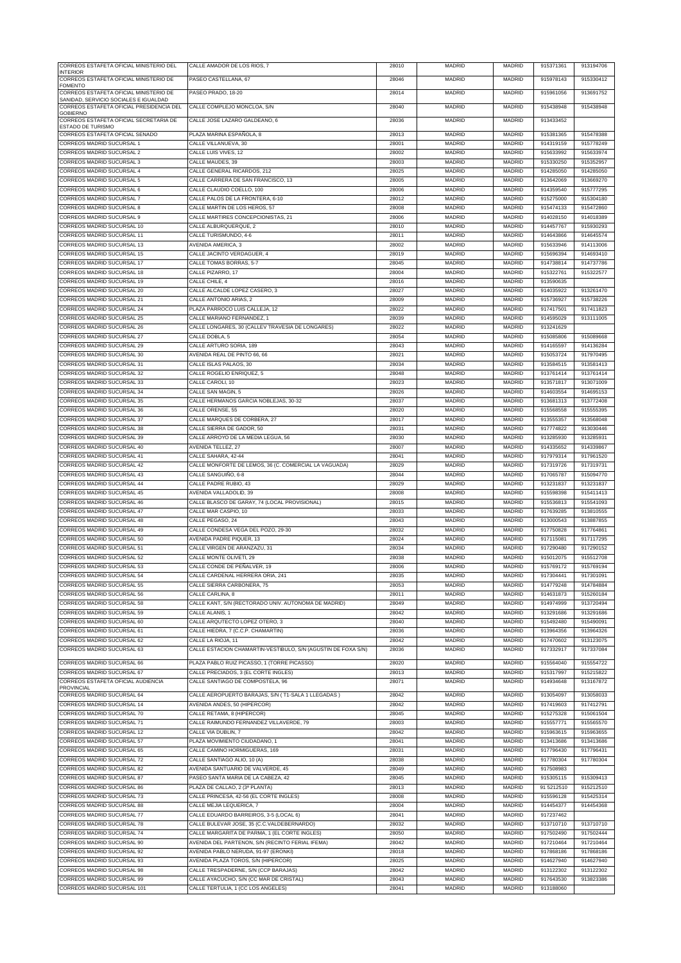| CORREOS ESTAFETA OFICIAL MINISTERIO DEL<br><b>INTERIOR</b>  | CALLE AMADOR DE LOS RIOS, 7                                                     | 28010          | MADRID                         | MADRID                         | 915371361              | 913194706              |
|-------------------------------------------------------------|---------------------------------------------------------------------------------|----------------|--------------------------------|--------------------------------|------------------------|------------------------|
| CORREOS ESTAFETA OFICIAL MINISTERIO DE                      | PASEO CASTELLANA, 67                                                            | 28046          | MADRID                         | <b>MADRID</b>                  | 915978143              | 915330412              |
| <b>FOMENTO</b><br>CORREOS ESTAFETA OFICIAL MINISTERIO DE    | PASEO PRADO, 18-20                                                              | 28014          | MADRID                         | <b>MADRID</b>                  | 915961056              | 913691752              |
| SANIDAD, SERVICIO SOCIALES E IGUALDAD                       |                                                                                 |                |                                |                                |                        |                        |
| CORREOS ESTAFETA OFICIAL PRESIDENCIA DEL<br>GOBIFRNO        | CALLE COMPLEJO MONCLOA, S/N                                                     | 28040          | <b>MADRID</b>                  | <b>MADRID</b>                  | 915438948              | 915438948              |
| CORREOS ESTAFETA OFICIAL SECRETARIA DE                      | CALLE JOSE LAZARO GALDEANO, 6                                                   | 28036          | MADRID                         | MADRID                         | 913433452              |                        |
| <b>ESTADO DE TURISMO</b><br>CORREOS ESTAFETA OFICIAL SENADO | PLAZA MARINA ESPAÑOLA, 8                                                        | 28013          | MADRID                         | MADRID                         | 915381365              | 915478388              |
| CORREOS MADRID SUCURSAL 1                                   | CALLE VILLANUEVA, 30                                                            | 28001          | <b>MADRID</b>                  | MADRID                         | 914319159              | 915778249              |
| CORREOS MADRID SUCURSAL 2                                   | CALLE LUIS VIVES, 12                                                            | 28002          | MADRID                         | <b>MADRID</b>                  | 915633992              | 915633974              |
| CORREOS MADRID SUCURSAL 3                                   | CALLE MAUDES, 39                                                                | 28003          | <b>MADRID</b>                  | <b>MADRID</b>                  | 915330250              | 915352957              |
| CORREOS MADRID SUCURSAL 4                                   | CALLE GENERAL RICARDOS, 212                                                     | 28025          | MADRID                         | MADRID                         | 914285050              | 914285050              |
| CORREOS MADRID SUCURSAL 5<br>CORREOS MADRID SUCURSAL 6      | CALLE CARRERA DE SAN FRANCISCO, 13                                              | 28005          | MADRID                         | MADRID                         | 913642069              | 913669270              |
| CORREOS MADRID SUCURSAL 7                                   | CALLE CLAUDIO COELLO, 100<br>CALLE PALOS DE LA FRONTERA, 6-10                   | 28006<br>28012 | MADRID<br><b>MADRID</b>        | MADRID<br>MADRID               | 914359540<br>915275000 | 915777295<br>915304180 |
| CORREOS MADRID SUCURSAL 8                                   | CALLE MARTIN DE LOS HEROS, 57                                                   | 28008          | MADRID                         | MADRID                         | 915474133              | 915472860              |
| CORREOS MADRID SUCURSAL 9                                   | CALLE MARTIRES CONCEPCIONISTAS, 21                                              | 28006          | MADRID                         | <b>MADRID</b>                  | 914028150              | 914018389              |
| CORREOS MADRID SUCURSAL 10                                  | CALLE ALBURQUERQUE, 2                                                           | 28010          | <b>MADRID</b>                  | MADRID                         | 914457767              | 915930293              |
| CORREOS MADRID SUCURSAL 11                                  | CALLE TURISMUNDO, 4-6                                                           | 28011          | MADRID                         | MADRID                         | 914643866              | 914645574              |
| CORREOS MADRID SUCURSAL 13                                  | AVENIDA AMERICA, 3                                                              | 28002          | MADRID                         | <b>MADRID</b>                  | 915633946              | 914113006              |
| CORREOS MADRID SUCURSAL 15                                  | CALLE JACINTO VERDAGUER, 4                                                      | 28019          | <b>MADRID</b>                  | <b>MADRID</b>                  | 915696394              | 914693410              |
| CORREOS MADRID SUCURSAL 17<br>CORREOS MADRID SUCURSAL 18    | CALLE TOMAS BORRAS, 5-7<br>CALLE PIZARRO, 17                                    | 28045<br>28004 | MADRID<br><b>MADRID</b>        | MADRID<br><b>MADRID</b>        | 914738814<br>915322761 | 914737786<br>915322577 |
| CORREOS MADRID SUCURSAL 19                                  | CALLE CHILE, 4                                                                  | 28016          | MADRID                         | MADRID                         | 913590635              |                        |
| CORREOS MADRID SUCURSAL 20                                  | CALLE ALCALDE LOPEZ CASERO, 3                                                   | 28027          | MADRID                         | <b>MADRID</b>                  | 914035922              | 913261470              |
| CORREOS MADRID SUCURSAL 21                                  | CALLE ANTONIO ARIAS, 2                                                          | 28009          | <b>MADRID</b>                  | <b>MADRID</b>                  | 915736927              | 915738226              |
| CORREOS MADRID SUCURSAL 24                                  | PLAZA PARROCO LUIS CALLEJA, 12                                                  | 28022          | MADRID                         | MADRID                         | 917417501              | 917411823              |
| CORREOS MADRID SUCURSAL 25                                  | CALLE MARIANO FERNANDEZ. 1                                                      | 28039          | <b>MADRID</b>                  | <b>MADRID</b>                  | 914595029              | 913111005              |
| CORREOS MADRID SUCURSAL 26                                  | CALLE LONGARES, 30 (CALLEV TRAVESIA DE LONGARES)                                | 28022          | <b>MADRID</b>                  | <b>MADRID</b>                  | 913241629              |                        |
| CORREOS MADRID SUCURSAL 27                                  | CALLE DOBLA, 5                                                                  | 28054          | MADRID                         | MADRID                         | 915085806              | 915089668              |
| CORREOS MADRID SUCURSAL 29<br>CORREOS MADRID SUCURSAL 30    | CALLE ARTURO SORIA, 189<br>AVENIDA REAL DE PINTO 66, 66                         | 28043<br>28021 | <b>MADRID</b><br><b>MADRID</b> | MADRID<br><b>MADRID</b>        | 914165597<br>915053724 | 914136284<br>917970495 |
| CORREOS MADRID SUCURSAL 31                                  | CALLE ISLAS PALAOS, 30                                                          | 28034          | MADRID                         | MADRID                         | 913584515              | 913581413              |
| CORREOS MADRID SUCURSAL 32                                  | CALLE ROGELIO ENRIQUEZ, 5                                                       | 28048          | <b>MADRID</b>                  | MADRID                         | 913761414              | 913761414              |
| CORREOS MADRID SUCURSAL 33                                  | CALLE CAROLI, 10                                                                | 28023          | <b>MADRID</b>                  | MADRID                         | 913571817              | 913071009              |
| CORREOS MADRID SUCURSAL 34                                  | CALLE SAN MAGIN, 5                                                              | 28026          | MADRID                         | MADRID                         | 914603554              | 914695153              |
| CORREOS MADRID SUCURSAL 35                                  | CALLE HERMANOS GARCIA NOBLEJAS, 30-32                                           | 28037          | <b>MADRID</b>                  | MADRID                         | 913681313              | 913772408              |
| CORREOS MADRID SUCURSAL 36                                  | CALLE ORENSE, 55                                                                | 28020          | MADRID                         | MADRID                         | 915568558              | 915555395              |
| CORREOS MADRID SUCURSAL 37                                  | CALLE MARQUES DE CORBERA, 27                                                    | 28017          | MADRID                         | MADRID                         | 913555357              | 913568048              |
| CORREOS MADRID SUCURSAL 38                                  | CALLE SIERRA DE GADOR, 50                                                       | 28031          | MADRID                         | MADRID                         | 917774822              | 913030446              |
| CORREOS MADRID SUCURSAL 39<br>CORREOS MADRID SUCURSAL 40    | CALLE ARROYO DE LA MEDIA LEGUA, 56<br>AVENIDA TELLEZ, 27                        | 28030<br>28007 | MADRID<br>MADRID               | <b>MADRID</b><br><b>MADRID</b> | 913285930<br>914335652 | 913285931<br>914339867 |
| CORREOS MADRID SUCURSAL 41                                  | CALLE SAHARA, 42-44                                                             | 28041          | MADRID                         | MADRID                         | 917979314              | 917961520              |
| CORREOS MADRID SUCURSAL 42                                  | CALLE MONFORTE DE LEMOS, 36 (C. COMERCIAL LA VAGUADA)                           | 28029          | <b>MADRID</b>                  | <b>MADRID</b>                  | 917319726              | 917319731              |
| CORREOS MADRID SUCURSAL 43                                  | CALLE SANGUIÑO, 6-8                                                             | 28044          | MADRID                         | <b>MADRID</b>                  | 917065787              | 915094770              |
| CORREOS MADRID SUCURSAL 44                                  | CALLE PADRE RUBIO, 43                                                           | 28029          | <b>MADRID</b>                  | MADRID                         | 913231837              | 913231837              |
| CORREOS MADRID SUCURSAL 45                                  | AVENIDA VALLADOLID, 39                                                          | 28008          | MADRID                         | <b>MADRID</b>                  | 915598398              | 915411413              |
| CORREOS MADRID SUCURSAL 46                                  | CALLE BLASCO DE GARAY, 74 (LOCAL PROVISIONAL)                                   | 28015          | MADRID                         | <b>MADRID</b>                  | 915536813              | 915541093              |
| CORREOS MADRID SUCURSAL 47                                  | CALLE MAR CASPIO, 10                                                            | 28033          | MADRID                         | MADRID                         | 917639285              | 913810555              |
| CORREOS MADRID SUCURSAL 48<br>CORREOS MADRID SUCURSAL 49    | CALLE PEGASO, 24<br>CALLE CONDESA VEGA DEL POZO, 29-30                          | 28043<br>28032 | MADRID<br>MADRID               | <b>MADRID</b><br><b>MADRID</b> | 913000543<br>917750828 | 913887855<br>917764861 |
| CORREOS MADRID SUCURSAL 50                                  | AVENIDA PADRE PIQUER, 13                                                        | 28024          | MADRID                         | MADRID                         | 917115081              | 917117295              |
| CORREOS MADRID SUCURSAL 51                                  | CALLE VIRGEN DE ARANZAZU, 31                                                    | 28034          | <b>MADRID</b>                  | <b>MADRID</b>                  | 917290480              | 917290152              |
| CORREOS MADRID SUCURSAL 52                                  | CALLE MONTE OLIVETI, 29                                                         | 28038          | <b>MADRID</b>                  | <b>MADRID</b>                  | 915012075              | 915512708              |
| CORREOS MADRID SUCURSAL 53                                  | CALLE CONDE DE PEÑALVER, 19                                                     | 28006          | <b>MADRID</b>                  | MADRID                         | 915769172              | 915769194              |
| CORREOS MADRID SUCURSAL 54                                  | UALLE CARDENAL HERRERA ORIA, 241                                                | 28035          | MADRID                         | MADRID                         | 917304441              | 917301091              |
| <b>CORREOS MADRID SUCURSAL 55</b>                           | CALLE SIERRA CARBONERA, 75                                                      | 28053          | MADRID                         | MADRID                         | 914779248              | 914784884              |
| CORREOS MADRID SUCURSAL 56                                  | CALLE CARLINA, 8                                                                | 28011          | MADRID                         | MADRID                         | 914631873              | 915260184              |
| CORREOS MADRID SUCURSAL 58<br>CORREOS MADRID SUCURSAL 59    | CALLE KANT, S/N (RECTORADO UNIV. AUTONOMA DE MADRID)<br>CALLE ALANIS, 1         | 28049<br>28042 | <b>MADRID</b><br>MADRID        | <b>MADRID</b><br>MADRID        | 914974999<br>913291686 | 913720494<br>913291686 |
| CORREOS MADRID SUCURSAL 60                                  | CALLE ARQUTECTO LOPEZ OTERO, 3                                                  | 28040          | MADRID                         | MADRID                         | 915492480              | 915490091              |
| CORREOS MADRID SUCURSAL 61                                  | CALLE HIEDRA, 7 (C.C.P. CHAMARTIN)                                              | 28036          | <b>MADRID</b>                  | MADRID                         | 913964356              | 913964326              |
| CORREOS MADRID SUCURSAL 62                                  | CALLE LA RIOJA, 11                                                              | 28042          | MADRID                         | MADRID                         | 917470602              | 913123075              |
| CORREOS MADRID SUCURSAL 63                                  | CALLE ESTACION CHAMARTIN-VESTIBULO, S/N (AGUSTIN DE FOXA S/N)                   | 28036          | <b>MADRID</b>                  | MADRID                         | 917332917              | 917337084              |
| CORREOS MADRID SUCURSAL 66                                  | PLAZA PABLO RUIZ PICASSO, 1 (TORRE PICASSO)                                     | 28020          | MADRID                         | MADRID                         | 915564040              | 915554722              |
| CORREOS MADRID SUCURSAL 67                                  | CALLE PRECIADOS, 3 (EL CORTE INGLES)                                            | 28013          | MADRID                         | MADRID                         | 915317997              | 915215822              |
| CORREOS ESTAFETA OFICIAL AUDIENCIA                          | CALLE SANTIAGO DE COMPOSTELA, 96                                                | 28071          | MADRID                         | MADRID                         | 914934648              | 913167872              |
| PROVINCIAL<br>CORREOS MADRID SUCURSAL 64                    | CALLE AEROPUERTO BARAJAS, S/N (T1-SALA 1 LLEGADAS)                              | 28042          | MADRID                         | MADRID                         | 913054097              | 913058033              |
| CORREOS MADRID SUCURSAL 14                                  | AVENIDA ANDES, 50 (HIPERCOR)                                                    | 28042          | MADRID                         | MADRID                         | 917419603              | 917412791              |
| CORREOS MADRID SUCURSAL 70                                  | CALLE RETAMA, 8 (HIPERCOR)                                                      | 28045          | <b>MADRID</b>                  | <b>MADRID</b>                  | 915275328              | 915061504              |
| CORREOS MADRID SUCURSAL 71                                  | CALLE RAIMUNDO FERNANDEZ VILLAVERDE, 79                                         | 28003          | MADRID                         | MADRID                         | 915557771              | 915565570              |
| CORREOS MADRID SUCURSAL 12                                  | CALLE VIA DUBLIN, 7                                                             | 28042          | <b>MADRID</b>                  | MADRID                         | 915963615              | 915963655              |
| CORREOS MADRID SUCURSAL 57                                  | PLAZA MOVIMIENTO CIUDADANO, 1                                                   | 28041          | <b>MADRID</b>                  | <b>MADRID</b>                  | 913413686              | 913413686              |
| CORREOS MADRID SUCURSAL 65                                  | CALLE CAMINO HORMIGUERAS, 169                                                   | 28031          | MADRID                         | MADRID                         | 917796430              | 917796431              |
| CORREOS MADRID SUCURSAL 72                                  | CALLE SANTIAGO ALIO, 10 (A)                                                     | 28038          | <b>MADRID</b>                  | MADRID                         | 917780304              | 917780304              |
| CORREOS MADRID SUCURSAL 82<br>CORREOS MADRID SUCURSAL 87    | AVENIDA SANTUARIO DE VALVERDE, 45<br>PASEO SANTA MARIA DE LA CABEZA, 42         | 28049<br>28045 | MADRID<br>MADRID               | MADRID<br>MADRID               | 917508983<br>915305115 | 915309413              |
| CORREOS MADRID SUCURSAL 86                                  |                                                                                 | 28013          | MADRID                         | MADRID                         | 91 5212510             | 915212510              |
|                                                             |                                                                                 |                |                                |                                |                        | 915425314              |
| CORREOS MADRID SUCURSAL 73                                  | PLAZA DE CALLAO, 2 (3ª PLANTA)<br>CALLE PRINCESA, 42-56 (EL CORTE INGLES)       | 28008          | MADRID                         | MADRID                         | 915596128              |                        |
| CORREOS MADRID SUCURSAL 88                                  | CALLE MEJIA LEQUERICA, 7                                                        | 28004          | MADRID                         | MADRID                         | 914454377              | 914454368              |
| CORREOS MADRID SUCURSAL 77                                  | CALLE EDUARDO BARREIROS, 3-5 (LOCAL 6)                                          | 28041          | <b>MADRID</b>                  | MADRID                         | 917237462              |                        |
| CORREOS MADRID SUCURSAL 78                                  | CALLE BULEVAR JOSE, 35 (C.C.VALDEBERNARDO)                                      | 28032          | MADRID                         | MADRID                         | 913710710              | 913710710              |
| CORREOS MADRID SUCURSAL 74                                  | CALLE MARGARITA DE PARMA, 1 (EL CORTE INGLES)                                   | 28050          | <b>MADRID</b>                  | MADRID                         | 917502490              | 917502444              |
| CORREOS MADRID SUCURSAL 90                                  | AVENIDA DEL PARTENON, S/N (RECINTO FERIAL IFEMA)                                | 28042          | <b>MADRID</b>                  | MADRID                         | 917210464              | 917210464              |
| CORREOS MADRID SUCURSAL 92                                  | AVENIDA PABLO NERUDA, 91-97 (ERONKI)                                            | 28018          | MADRID                         | MADRID                         | 917868186              | 917868186              |
| CORREOS MADRID SUCURSAL 93                                  | AVENIDA PLAZA TOROS, S/N (HIPERCOR)                                             | 28025          | <b>MADRID</b>                  | MADRID                         | 914627940              | 914627940              |
| CORREOS MADRID SUCURSAL 98<br>CORREOS MADRID SUCURSAL 99    | CALLE TRESPADERNE, S/N (CCP BARAJAS)<br>CALLE AYACUCHO, S/N (CC MAR DE CRISTAL) | 28042<br>28043 | <b>MADRID</b><br>MADRID        | MADRID<br>MADRID               | 913122302<br>917643530 | 913122302<br>913823386 |
| CORREOS MADRID SUCURSAL 101                                 | CALLE TERTULIA, 1 (CC LOS ANGELES)                                              | 28041          | <b>MADRID</b>                  | <b>MADRID</b>                  | 913188060              |                        |